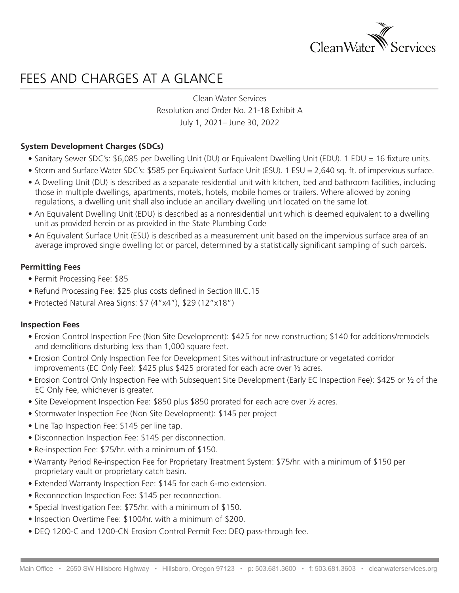

# FFES AND CHARGES AT A GLANCE

Clean Water Services Resolution and Order No. 21-18 Exhibit A July 1, 2021– June 30, 2022

### **System Development Charges (SDCs)**

- Sanitary Sewer SDC's: \$6,085 per Dwelling Unit (DU) or Equivalent Dwelling Unit (EDU). 1 EDU = 16 fixture units.
- Storm and Surface Water SDC's: \$585 per Equivalent Surface Unit (ESU). 1 ESU = 2,640 sq. ft. of impervious surface.
- A Dwelling Unit (DU) is described as a separate residential unit with kitchen, bed and bathroom facilities, including those in multiple dwellings, apartments, motels, hotels, mobile homes or trailers. Where allowed by zoning regulations, a dwelling unit shall also include an ancillary dwelling unit located on the same lot.
- An Equivalent Dwelling Unit (EDU) is described as a nonresidential unit which is deemed equivalent to a dwelling unit as provided herein or as provided in the State Plumbing Code
- An Equivalent Surface Unit (ESU) is described as a measurement unit based on the impervious surface area of an average improved single dwelling lot or parcel, determined by a statistically significant sampling of such parcels.

#### **Permitting Fees**

- Permit Processing Fee: \$85
- Refund Processing Fee: \$25 plus costs defined in Section III.C.15
- Protected Natural Area Signs: \$7 (4"x4"), \$29 (12"x18")

#### **Inspection Fees**

- Erosion Control Inspection Fee (Non Site Development): \$425 for new construction; \$140 for additions/remodels and demolitions disturbing less than 1,000 square feet.
- Erosion Control Only Inspection Fee for Development Sites without infrastructure or vegetated corridor improvements (EC Only Fee): \$425 plus \$425 prorated for each acre over ½ acres.
- Erosion Control Only Inspection Fee with Subsequent Site Development (Early EC Inspection Fee): \$425 or ½ of the EC Only Fee, whichever is greater.
- Site Development Inspection Fee: \$850 plus \$850 prorated for each acre over ½ acres.
- Stormwater Inspection Fee (Non Site Development): \$145 per project
- Line Tap Inspection Fee: \$145 per line tap.
- Disconnection Inspection Fee: \$145 per disconnection.
- Re-inspection Fee: \$75/hr. with a minimum of \$150.
- Warranty Period Re-inspection Fee for Proprietary Treatment System: \$75/hr. with a minimum of \$150 per proprietary vault or proprietary catch basin.
- Extended Warranty Inspection Fee: \$145 for each 6-mo extension.
- Reconnection Inspection Fee: \$145 per reconnection.
- Special Investigation Fee: \$75/hr. with a minimum of \$150.
- Inspection Overtime Fee: \$100/hr. with a minimum of \$200.
- DEQ 1200-C and 1200-CN Erosion Control Permit Fee: DEQ pass-through fee.